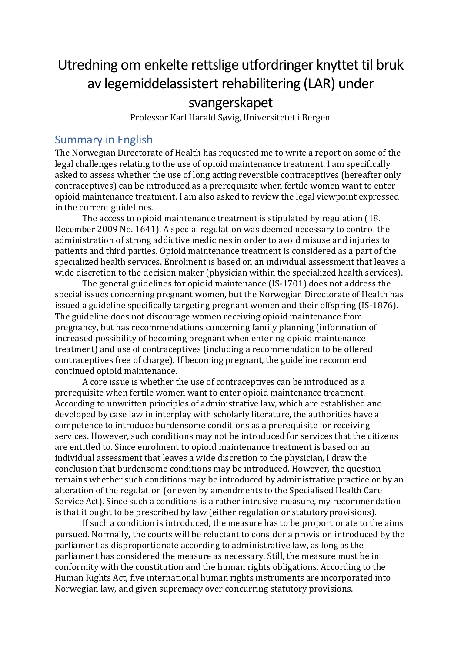# Utredning om enkelte rettslige utfordringer knyttet til bruk av legemiddelassistert rehabilitering (LAR) under svangerskapet

Professor Karl Harald Søvig, Universitetet i Bergen

### Summary in English

The Norwegian Directorate of Health has requested me to write a report on some of the legal challenges relating to the use of opioid maintenance treatment. I am specifically asked to assess whether the use of long acting reversible contraceptives (hereafter only contraceptives) can be introduced as a prerequisite when fertile women want to enter opioid maintenance treatment. I am also asked to review the legal viewpoint expressed in the current guidelines.

The access to opioid maintenance treatment is stipulated by regulation (18. December 2009 No. 1641). A special regulation was deemed necessary to control the administration of strong addictive medicines in order to avoid misuse and injuries to patients and third parties. Opioid maintenance treatment is considered as a part of the specialized health services. Enrolment is based on an individual assessment that leaves a wide discretion to the decision maker (physician within the specialized health services).

The general guidelines for opioid maintenance (IS-1701) does not address the special issues concerning pregnant women, but the Norwegian Directorate of Health has issued a guideline specifically targeting pregnant women and their offspring (IS-1876). The guideline does not discourage women receiving opioid maintenance from pregnancy, but has recommendations concerning family planning (information of increased possibility of becoming pregnant when entering opioid maintenance treatment) and use of contraceptives (including a recommendation to be offered contraceptives free of charge). If becoming pregnant, the guideline recommend continued opioid maintenance.

A core issue is whether the use of contraceptives can be introduced as a prerequisite when fertile women want to enter opioid maintenance treatment. According to unwritten principles of administrative law, which are established and developed by case law in interplay with scholarly literature, the authorities have a competence to introduce burdensome conditions as a prerequisite for receiving services. However, such conditions may not be introduced for services that the citizens are entitled to. Since enrolment to opioid maintenance treatment is based on an individual assessment that leaves a wide discretion to the physician, I draw the conclusion that burdensome conditions may be introduced. However, the question remains whether such conditions may be introduced by administrative practice or by an alteration of the regulation (or even by amendments to the Specialised Health Care Service Act). Since such a conditions is a rather intrusive measure, my recommendation is that it ought to be prescribed by law (either regulation or statutoryprovisions).

If such a condition is introduced, the measure has to be proportionate to the aims pursued. Normally, the courts will be reluctant to consider a provision introduced by the parliament as disproportionate according to administrative law, as long as the parliament has considered the measure as necessary. Still, the measure must be in conformity with the constitution and the human rights obligations. According to the Human Rights Act, five international human rights instruments are incorporated into Norwegian law, and given supremacy over concurring statutory provisions.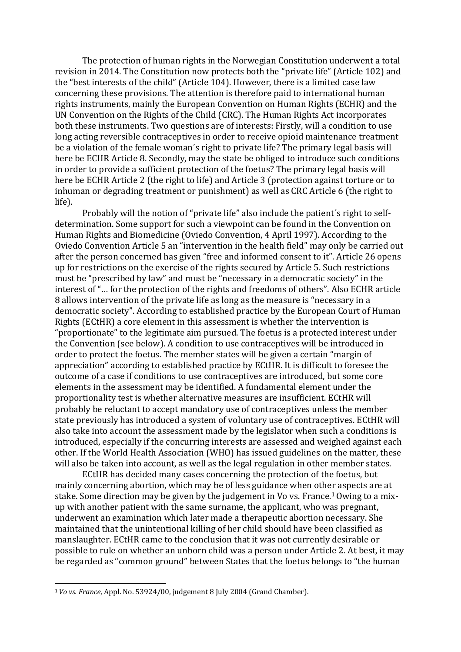The protection of human rights in the Norwegian Constitution underwent a total revision in 2014. The Constitution now protects both the "private life" (Article 102) and the "best interests of the child" (Article 104). However, there is a limited case law concerning these provisions. The attention is therefore paid to international human rights instruments, mainly the European Convention on Human Rights (ECHR) and the UN Convention on the Rights of the Child (CRC). The Human Rights Act incorporates both these instruments. Two questions are of interests: Firstly, will a condition to use long acting reversible contraceptives in order to receive opioid maintenance treatment be a violation of the female woman´s right to private life? The primary legal basis will here be ECHR Article 8. Secondly, may the state be obliged to introduce such conditions in order to provide a sufficient protection of the foetus? The primary legal basis will here be ECHR Article 2 (the right to life) and Article 3 (protection against torture or to inhuman or degrading treatment or punishment) as well as CRC Article 6 (the right to life).

Probably will the notion of "private life" also include the patient´s right to selfdetermination. Some support for such a viewpoint can be found in the Convention on Human Rights and Biomedicine (Oviedo Convention, 4 April 1997). According to the Oviedo Convention Article 5 an "intervention in the health field" may only be carried out after the person concerned has given "free and informed consent to it". Article 26 opens up for restrictions on the exercise of the rights secured by Article 5. Such restrictions must be "prescribed by law" and must be "necessary in a democratic society" in the interest of "… for the protection of the rights and freedoms of others". Also ECHR article 8 allows intervention of the private life as long as the measure is "necessary in a democratic society". According to established practice by the European Court of Human Rights (ECtHR) a core element in this assessment is whether the intervention is "proportionate" to the legitimate aim pursued. The foetus is a protected interest under the Convention (see below). A condition to use contraceptives will be introduced in order to protect the foetus. The member states will be given a certain "margin of appreciation" according to established practice by ECtHR. It is difficult to foresee the outcome of a case if conditions to use contraceptives are introduced, but some core elements in the assessment may be identified. A fundamental element under the proportionality test is whether alternative measures are insufficient. ECtHR will probably be reluctant to accept mandatory use of contraceptives unless the member state previously has introduced a system of voluntary use of contraceptives. ECtHR will also take into account the assessment made by the legislator when such a conditions is introduced, especially if the concurring interests are assessed and weighed against each other. If the World Health Association (WHO) has issued guidelines on the matter, these will also be taken into account, as well as the legal regulation in other member states.

ECtHR has decided many cases concerning the protection of the foetus, but mainly concerning abortion, which may be of less guidance when ot[her a](#page-1-0)spects are at stake. Some direction may be given by the judgement in Vo vs. France.<sup>1</sup> Owing to a mixup with another patient with the same surname, the applicant, who [was p](#page-1-0)regnant, underwent an examination which later made a therapeutic abortion necessary. She maintained that the unintentional killing of her child should have been classified as manslaughter. ECtHR came to the conclusion that it was not currently desirable or possible to rule on whether an unborn child was a person under Article 2. At best, it may be regarded as "common ground" between States that the foetus belongs to "the human

<span id="page-1-0"></span><sup>1</sup> *Vo vs. France*, Appl. No. 53924/00, judgement 8 July 2004 (Grand Chamber).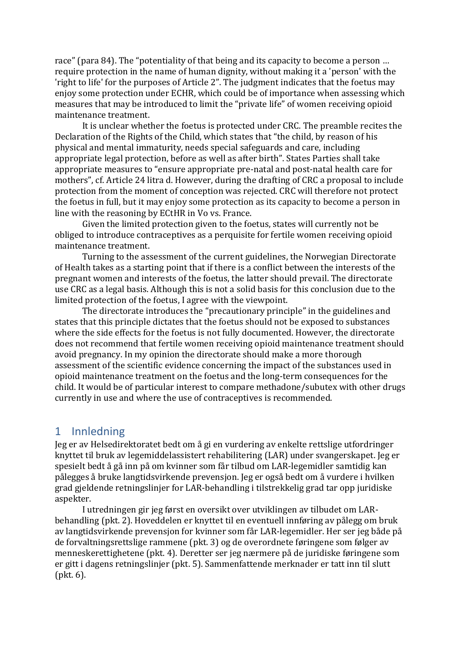race" (para 84). The "potentiality of that being and its capacity to become a person … require protection in the name of human dignity, without making it a 'person' with the 'right to life' for the purposes of Article 2". The judgment indicates that the foetus may enjoy some protection under ECHR, which could be of importance when assessing which measures that may be introduced to limit the "private life" of women receiving opioid maintenance treatment.

It is unclear whether the foetus is protected under CRC. The preamble recites the Declaration of the Rights of the Child, which states that "the child, by reason of his physical and mental immaturity, needs special safeguards and care, including appropriate legal protection, before as well as after birth". States Parties shall take appropriate measures to "ensure appropriate pre-natal and post-natal health care for mothers", cf. Article 24 litra d. However, during the drafting of CRC a proposal to include protection from the moment of conception was rejected. CRC will therefore not protect the foetus in full, but it may enjoy some protection as its capacity to become a person in line with the reasoning by ECtHR in Vo vs. France.

Given the limited protection given to the foetus, states will currently not be obliged to introduce contraceptives as a perquisite for fertile women receiving opioid maintenance treatment.

Turning to the assessment of the current guidelines, the Norwegian Directorate of Health takes as a starting point that if there is a conflict between the interests of the pregnant women and interests of the foetus, the latter should prevail. The directorate use CRC as a legal basis. Although this is not a solid basis for this conclusion due to the limited protection of the foetus, I agree with the viewpoint.

The directorate introduces the "precautionary principle" in the guidelines and states that this principle dictates that the foetus should not be exposed to substances where the side effects for the foetus is not fully documented. However, the directorate does not recommend that fertile women receiving opioid maintenance treatment should avoid pregnancy. In my opinion the directorate should make a more thorough assessment of the scientific evidence concerning the impact of the substances used in opioid maintenance treatment on the foetus and the long-term consequences for the child. It would be of particular interest to compare methadone/subutex with other drugs currently in use and where the use of contraceptives is recommended.

# 1 Innledning

Jeg er av Helsedirektoratet bedt om å gi en vurdering av enkelte rettslige utfordringer knyttet til bruk av legemiddelassistert rehabilitering (LAR) under svangerskapet. Jeg er spesielt bedt å gå inn på om kvinner som får tilbud om LAR-legemidler samtidig kan pålegges å bruke langtidsvirkende prevensjon. Jeg er også bedt om å vurdere i hvilken grad gjeldende retningslinjer for LAR-behandling i tilstrekkelig grad tar opp juridiske aspekter.

I utredningen gir jeg først en oversikt over utviklingen av tilbudet om LARbehandling (pkt. 2). Hoveddelen er knyttet til en eventuell innføring av pålegg om bruk av langtidsvirkende prevensjon for kvinner som får LAR-legemidler. Her ser jeg både på de forvaltningsrettslige rammene (pkt. 3) og de overordnete føringene som følger av menneskerettighetene (pkt. 4). Deretter ser jeg nærmere på de juridiske føringene som er gitt i dagens retningslinjer (pkt. 5). Sammenfattende merknader er tatt inn til slutt (pkt. 6).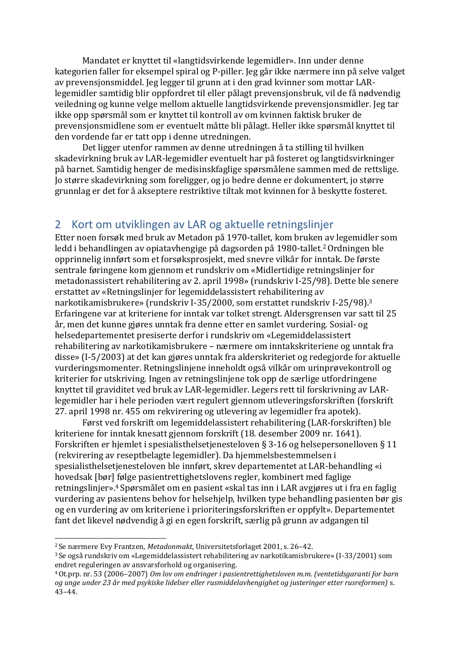Mandatet er knyttet til «langtidsvirkende legemidler». Inn under denne kategorien faller for eksempel spiral og P-piller. Jeg går ikke nærmere inn på selve valget av prevensjonsmiddel. Jeg legger til grunn at i den grad kvinner som mottar LARlegemidler samtidig blir oppfordret til eller pålagt prevensjonsbruk, vil de få nødvendig veiledning og kunne velge mellom aktuelle langtidsvirkende prevensjonsmidler. Jeg tar ikke opp spørsmål som er knyttet til kontroll av om kvinnen faktisk bruker de prevensjonsmidlene som er eventuelt måtte bli pålagt. Heller ikke spørsmål knyttet til den vordende far er tatt opp i denne utredningen.

Det ligger utenfor rammen av denne utredningen å ta stilling til hvilken skadevirkning bruk av LAR-legemidler eventuelt har på fosteret og langtidsvirkninger på barnet. Samtidig henger de medisinskfaglige spørsmålene sammen med de rettslige. Jo større skadevirkning som foreligger, og jo bedre denne er dokumentert, jo større grunnlag er det for å akseptere restriktive tiltak mot kvinnen for å beskytte fosteret.

# 2 Kort om utviklingen av LAR og aktuelle retningslinjer

Etter noen forsøk med bruk av Metadon på 1970-tallet, kom bruken av legemidler som ledd i behandlingen av opiatavhengige på dagsorden på 1980-tallet.<sup>2</sup> Ordningen ble opprinnelig innført som et forsøksprosjekt, med snevre vilkår for [innta](#page-3-0)k. De første sentrale føringene kom gjennom et rundskriv om «Midlertidige retningslinjer for metadonassistert rehabilitering av 2. april 1998» (rundskriv I-25/98). Dette ble senere erstattet av «Retningslinjer for legemiddelassistert rehabilitering av narkotikamisbrukere» (rundskriv I-35/2000, som erstattet rundskriv I-25/98).[3](#page-3-1) Erfaringene var at kriteriene for inntak var tolket strengt. Aldersgrensen var [satt t](#page-3-1)il 25 år, men det kunne gjøres unntak fra denne etter en samlet vurdering. Sosial- og helsedepartementet presiserte derfor i rundskriv om «Legemiddelassistert rehabilitering av narkotikamisbrukere – nærmere om inntakskriteriene og unntak fra disse» (I-5/2003) at det kan gjøres unntak fra alderskriteriet og redegjorde for aktuelle vurderingsmomenter. Retningslinjene inneholdt også vilkår om urinprøvekontroll og kriterier for utskriving. Ingen av retningslinjene tok opp de særlige utfordringene knyttet til graviditet ved bruk av LAR-legemidler. Legers rett til forskrivning av LARlegemidler har i hele perioden vært regulert gjennom utleveringsforskriften (forskrift 27. april 1998 nr. 455 om rekvirering og utlevering av legemidler fra apotek).

Først ved forskrift om legemiddelassistert rehabilitering (LAR-forskriften) ble kriteriene for inntak knesatt gjennom forskrift (18. desember 2009 nr. 1641). Forskriften er hjemlet i spesialisthelsetjenesteloven § 3-16 og helsepersonelloven § 11 (rekvirering av reseptbelagte legemidler). Da hjemmelsbestemmelsen i spesialisthelsetjenesteloven ble innført, skrev departementet at LAR-behandling «i hovedsak [bør] [fø](#page-3-2)lge pasientrettighetslovens regler, kombinert med faglige retningslinjer».[4](#page-3-2) Spørsmålet om en pasient «skal tas inn i LAR avgjøres ut i fra en faglig vurdering av [pasi](#page-3-2)entens behov for helsehjelp, hvilken type behandling pasienten bør gis og en vurdering av om kriteriene i prioriteringsforskriften er oppfylt». Departementet fant det likevel nødvendig å gi en egen forskrift, særlig på grunn av adgangen til

<span id="page-3-0"></span><sup>2</sup>Se nærmere Evy Frantzen, *Metadonmakt*, Universitetsforlaget 2001, s. 26–42.

<span id="page-3-1"></span><sup>3</sup>Se også rundskriv om «Legemiddelassistert rehabilitering av narkotikamisbrukere» (I-33/2001) som endret reguleringen av ansvarsforhold og organisering.

<span id="page-3-2"></span><sup>4</sup>Ot.prp. nr. 53 (2006–2007) *Om lov om endringer i pasientrettighetsloven m.m. (ventetidsgaranti for barn og unge under 23 år med psykiske lidelser eller rusmiddelavhengighet og justeringer etter rusreformen)* s. 43–44.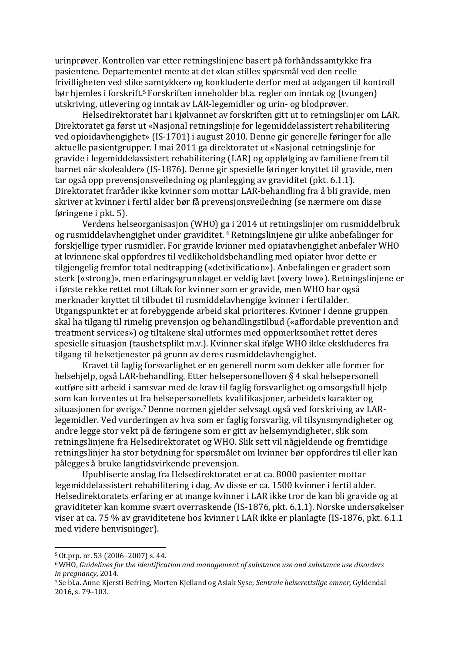<span id="page-4-3"></span>urinprøver. Kontrollen var etter retningslinjene basert på forhåndssamtykke fra pasientene. Departementet mente at det «kan stilles spørsmål ved den reelle frivilligheten ved slike samtykker» og konkluderte derfor med at adgangen til kontroll bør hjemles i forskrift.[5](#page-4-0) Forskriften inneholder bl.a. regler om inntak og (tvungen) utskriving, utlevering [og](#page-4-0) inntak av LAR-legemidler og urin- og blodprøver.

Helsedirektoratet har i kjølvannet av forskriften gitt ut to retningslinjer om LAR. Direktoratet ga først ut «Nasjonal retningslinje for legemiddelassistert rehabilitering ved opioidavhengighet» (IS-1701) i august 2010. Denne gir generelle føringer for alle aktuelle pasientgrupper. I mai 2011 ga direktoratet ut «Nasjonal retningslinje for gravide i legemiddelassistert rehabilitering (LAR) og oppfølging av familiene frem til barnet når skolealder» (IS-1876). Denne gir spesielle føringer knyttet til gravide, men tar også opp prevensjonsveiledning og planlegging av graviditet (pkt. 6.1.1). Direktoratet fraråder ikke kvinner som mottar LAR-behandling fra å bli gravide, men skriver at kvinner i fertil alder bør få prevensjonsveiledning (se nærmere om disse føringene i pkt. 5).

Verdens helseorganisasjon (WHO) [ga i](#page-4-1) 2014 ut retningslinjer om rusmiddelbruk og rusmiddelavhengighet under graviditet. [6](#page-4-1) Retningslinjene gir ulike anbefalinger for forskjellige typer rusmidler. For gravide k[vinner](#page-4-1) med opiatavhengighet anbefaler WHO at kvinnene skal oppfordres til vedlikeholdsbehandling med opiater hvor dette er tilgjengelig fremfor total nedtrapping («detixification»). Anbefalingen er gradert som sterk («strong)», men erfaringsgrunnlaget er veldig lavt («very low»). Retningslinjene er i første rekke rettet mot tiltak for kvinner som er gravide, men WHO har også merknader knyttet til tilbudet til rusmiddelavhengige kvinner i fertilalder. Utgangspunktet er at forebyggende arbeid skal prioriteres. Kvinner i denne gruppen skal ha tilgang til rimelig prevensjon og behandlingstilbud («affordable prevention and treatment services») og tiltakene skal utformes med oppmerksomhet rettet deres spesielle situasjon (taushetsplikt m.v.). Kvinner skal ifølge WHO ikke ekskluderes fra tilgang til helsetjenester på grunn av deres rusmiddelavhengighet.

Kravet til faglig forsvarlighet er en generell norm som dekker alle former for helsehjelp, også LAR-behandling. Etter helsepersonelloven § 4 skal helsepersonell «utføre sitt arbeid i samsvar med de krav til faglig forsvarlighet og omsorgsfull hjelp som kan forventes ut [fra](#page-4-2) helsepersonellets kvalifikasjoner, arbeidets karakter og situasjonen for øvrig».[7](#page-4-2) Denne normen gjelder selvsagt også ved forskriving av LARlegemidler. Ved vurderingen av hva som er faglig forsvarlig, vil tilsynsmyndigheter og andre legge stor vekt på de føringene som er gitt av helsemyndigheter, slik som retningslinjene fra Helsedirektoratet og WHO. Slik sett vil någjeldende og fremtidige retningslinjer ha stor betydning for spørsmålet om kvinner bør oppfordres til eller kan pålegges å bruke langtidsvirkende prevensjon.

Upubliserte anslag fra Helsedirektoratet er at ca. 8000 pasienter mottar legemiddelassistert rehabilitering i dag. Av disse er ca. 1500 kvinner i fertil alder. Helsedirektoratets erfaring er at mange kvinner i LAR ikke tror de kan bli gravide og at graviditeter kan komme svært overraskende (IS-1876, pkt. 6.1.1). Norske undersøkelser viser at ca. 75 % av graviditetene hos kvinner i LAR ikke er planlagte (IS-1876, pkt. 6.1.1 med videre henvisninger).

<span id="page-4-0"></span> $5$  Ot.prp. nr. 53 (2006–2007) s. 44.

<span id="page-4-1"></span><sup>6</sup>WHO, *Guidelines for the identification and management of substance use and substance use disorders in pregnancy*, 2014.

<span id="page-4-2"></span><sup>7</sup>Se bl.a. Anne Kjersti Befring, Morten Kjelland og Aslak Syse, *Sentrale helserettslige emner,* Gyldendal 2016, s. 79–103.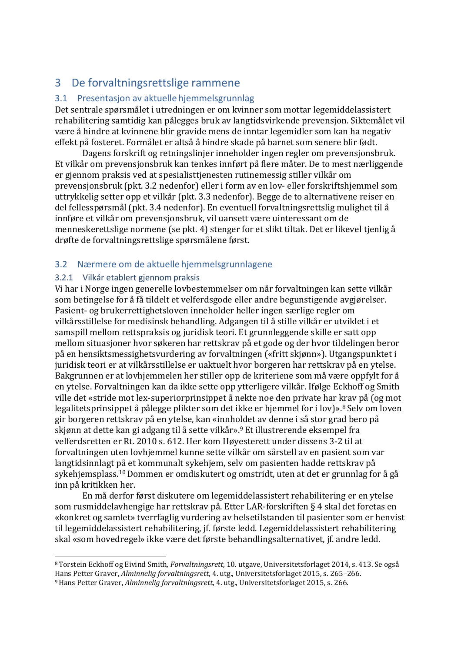# <span id="page-5-2"></span>3 De forvaltningsrettslige rammene

### 3.1 Presentasjon av aktuelle hjemmelsgrunnlag

Det sentrale spørsmålet i utredningen er om kvinner som mottar legemiddelassistert rehabilitering samtidig kan pålegges bruk av langtidsvirkende prevensjon. Siktemålet vil være å hindre at kvinnene blir gravide mens de inntar legemidler som kan ha negativ effekt på fosteret. Formålet er altså å hindre skade på barnet som senere blir født.

Dagens forskrift og retningslinjer inneholder ingen regler om prevensjonsbruk. Et vilkår om prevensjonsbruk kan tenkes innført på flere måter. De to mest nærliggende er gjennom praksis ved at spesialisttjenesten rutinemessig stiller vilkår om prevensjonsbruk (pkt. 3.2 nedenfor) eller i form av en lov- eller forskriftshjemmel som uttrykkelig setter opp et vilkår (pkt. 3.3 nedenfor). Begge de to alternativene reiser en del fellesspørsmål (pkt. 3.4 nedenfor). En eventuell forvaltningsrettslig mulighet til å innføre et vilkår om prevensjonsbruk, vil uansett være uinteressant om de menneskerettslige normene (se pkt. 4) stenger for et slikt tiltak. Det er likevel tjenlig å drøfte de forvaltningsrettslige spørsmålene først.

### 3.2 Nærmere om de aktuelle hjemmelsgrunnlagene

### 3.2.1 Vilkår etablert gjennom praksis

Vi har i Norge ingen generelle lovbestemmelser om når forvaltningen kan sette vilkår som betingelse for å få tildelt et velferdsgode eller andre begunstigende avgjørelser. Pasient- og brukerrettighetsloven inneholder heller ingen særlige regler om vilkårsstillelse for medisinsk behandling. Adgangen til å stille vilkår er utviklet i et samspill mellom rettspraksis og juridisk teori. Et grunnleggende skille er satt opp mellom situasjoner hvor søkeren har rettskrav på et gode og der hvor tildelingen beror på en hensiktsmessighetsvurdering av forvaltningen («fritt skjønn»). Utgangspunktet i juridisk teori er at vilkårsstillelse er uaktuelt hvor borgeren har rettskrav på en ytelse. Bakgrunnen er at lovhjemmelen her stiller opp de kriteriene som må være oppfylt for å en ytelse. Forvaltningen kan da ikke sette opp ytterligere vilkår. Ifølge Eckhoff og Smith ville det «stride mot lex-superiorprinsippet å nekte noe den private har krav på (og mot legalitetsprinsippet å pålegge plikter som det ikke er hjemmel for i lov)».<sup>8</sup> Selv om loven gir borgeren rettskrav på en ytelse, kan «innh[old](#page-5-1)et av denne i så stor g[rad b](#page-5-0)ero på skjønn at dette kan gi adgang til å sette vilkår».[9](#page-5-1) Et illustrerende eksempel fra velferdsretten er Rt. 2010 s. 612. Her kom Hø[yest](#page-5-1)erett under dissens 3-2 til at forvaltningen uten lovhjemmel kunne sette vilkår om sårstell av en pasient som var langtidsinnlagt [på e](#page-5-2)t kommunalt sykehjem, selv om pasienten hadde rettskrav på sykehjemsplass.[10](#page-5-2) Dommen er omdiskutert og omstridt, uten at det er grunnlag for å gå inn på kritikken [he](#page-5-2)r.

En må derfor først diskutere om legemiddelassistert rehabilitering er en ytelse som rusmiddelavhengige har rettskrav på. Etter LAR-forskriften § 4 skal det foretas en «konkret og samlet» tverrfaglig vurdering av helsetilstanden til pasienter som er henvist til legemiddelassistert rehabilitering, jf. første ledd. Legemiddelassistert rehabilitering skal «som hovedregel» ikke være det første behandlingsalternativet, jf. andre ledd.

<span id="page-5-1"></span><span id="page-5-0"></span><sup>8</sup>Torstein Eckhoff og Eivind Smith, *Forvaltningsrett*, 10. utgave, Universitetsforlaget 2014, s. 413. Se også Hans Petter Graver, *Alminnelig forvaltningsrett*, 4. utg., Universitetsforlaget 2015, s. 265–266. <sup>9</sup>Hans Petter Graver, *Alminnelig forvaltningsrett*, 4. utg., Universitetsforlaget 2015, s. 266.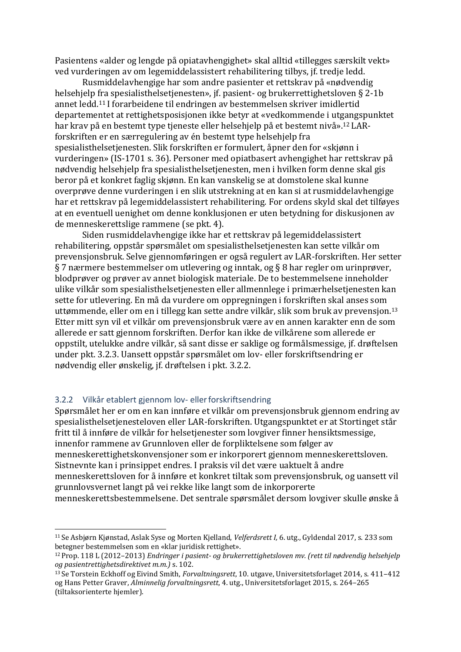Pasientens «alder og lengde på opiatavhengighet» skal alltid «tillegges særskilt vekt» ved vurderingen av om legemiddelassistert rehabilitering tilbys, jf. tredje ledd.

Rusmiddelavhengige har som andre pasienter et rettskrav på «nødvendig helsehjelp [fra](#page-6-0) spesialisthelsetjenesten», jf. pasient- og brukerrettighetsloven § 2-1b annet ledd.[11](#page-6-0) I forarbeidene til endringen av bestemmelsen skriver imidlertid departe[mentet a](#page-6-0)t rettighetsposisjonen ikke betyr at «vedkommende i ut[gangs](#page-6-1)punktet har krav på en bestemt type tjeneste eller helsehjelp på et bestemt nivå».[12](#page-6-1) LARforskriften er en særregulering av én bestemt type helsehjelp fra spesialisthelsetjenesten. Slik forskriften er formulert, åpner den for «skjønn i vurderingen» (IS-1701 s. 36). Personer med opiatbasert avhengighet har rettskrav på nødvendig helsehjelp fra spesialisthelsetjenesten, men i hvilken form denne skal gis beror på et konkret faglig skjønn. En kan vanskelig se at domstolene skal kunne overprøve denne vurderingen i en slik utstrekning at en kan si at rusmiddelavhengige har et rettskrav på legemiddelassistert rehabilitering. For ordens skyld skal det tilføyes at en eventuell uenighet om denne konklusjonen er uten betydning for diskusjonen av de menneskerettslige rammene (se pkt. 4).

Siden rusmiddelavhengige ikke har et rettskrav på legemiddelassistert rehabilitering, oppstår spørsmålet om spesialisthelsetjenesten kan sette vilkår om prevensjonsbruk. Selve gjennomføringen er også regulert av LAR-forskriften. Her setter § 7 nærmere bestemmelser om utlevering og inntak, og § 8 har regler om urinprøver, blodprøver og prøver av annet biologisk materiale. De to bestemmelsene inneholder ulike vilkår som spesialisthelsetjenesten eller allmennlege i primærhelsetjenesten kan sette for utlevering. En må da vurdere om oppregningen i forskriften skal anses som uttømmende, eller om en i tillegg kan sette andre vilkår, slik som bruk av prevensjon.[13](#page-6-2) Etter mitt syn vil et vilkår om prevensjonsbruk være av en annen karakter enn de som allerede er satt gjennom forskriften. Derfor kan ikke de vilkårene som allerede er oppstilt, utelukke andre vilkår, så sant disse er saklige og formålsmessige, jf. drøftelsen under pkt. 3.2.3. Uansett oppstår spørsmålet om lov- eller forskriftsendring er nødvendig eller ønskelig, jf. drøftelsen i pkt. 3.2.2.

#### 3.2.2 Vilkår etablert gjennom lov- ellerforskriftsendring

Spørsmålet her er om en kan innføre et vilkår om prevensjonsbruk gjennom endring av spesialisthelsetjenesteloven eller LAR-forskriften. Utgangspunktet er at Stortinget står fritt til å innføre de vilkår for helsetjenester som lovgiver finner hensiktsmessige, innenfor rammene av Grunnloven eller de forpliktelsene som følger av menneskerettighetskonvensjoner som er inkorporert gjennom menneskerettsloven. Sistnevnte kan i prinsippet endres. I praksis vil det være uaktuelt å andre menneskerettsloven for å innføre et konkret tiltak som prevensjonsbruk, og uansett vil grunnlovsvernet langt på vei rekke like langt som de inkorporerte menneskerettsbestemmelsene. Det sentrale spørsmålet dersom lovgiver skulle ønske å

<span id="page-6-0"></span><sup>11</sup>Se Asbjørn Kjønstad, Aslak Syse og Morten Kjelland, *Velferdsrett I,* 6. utg., Gyldendal 2017, s. 233 som betegner bestemmelsen som en «klar juridisk rettighet».

<span id="page-6-1"></span><sup>12</sup>Prop. 118 L (2012–2013) *Endringer i pasient- og brukerrettighetsloven mv. (rett til nødvendig helsehjelp og pasientrettighetsdirektivet m.m.)* s. 102.

<span id="page-6-2"></span><sup>13</sup>Se Torstein Eckhoff og Eivind Smith, *Forvaltningsrett*, 10. utgave, Universitetsforlaget 2014, s. 411–412 og Hans Petter Graver, *Alminnelig forvaltningsrett*, 4. utg., Universitetsforlaget 2015, s. 264–265 (tiltaksorienterte hjemler).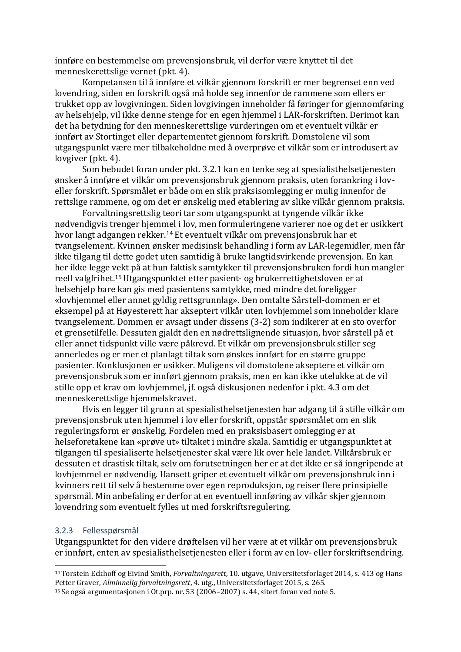innføre en bestemmelse om prevensjonsbruk, vil derfor være knyttet til det menneskerettslige vernet (pkt. 4).

Kompetansen til å innføre et vilkår gjennom forskrift er mer begrenset enn ved lovendring, siden en forskrift også må holde seg innenfor de rammene som ellers er trukket opp av lovgivningen. Siden lovgivingen inneholder få føringer for gjennomføring av helsehjelp, vil ikke denne stenge for en egen hjemmel i LAR-forskriften. Derimot kan det ha betydning for den menneskerettslige vurderingen om et eventuelt vilkår er innført av Stortinget eller departementet gjennom forskrift. Domstolene vil som utgangspunkt være mer tilbakeholdne med å overprøve et vilkår som er introdusert av lovgiver (pkt. 4).

Som bebudet foran under pkt. 3.2.1 kan en tenke seg at spesialisthelsetjenesten ønsker å innføre et vilkår om prevensjonsbruk gjennom praksis, uten forankring i loveller forskrift. Spørsmålet er både om en slik praksisomlegging er mulig innenfor de rettslige rammene, og om det er ønskelig med etablering av slike vilkår gjennom praksis.

Forvaltningsrettslig teori tar som utgangspunkt at tyngende vilkår ikke nødvendigvis trenger hjemmel i lov, men formuleringene varierer noe og det er usikkert hvor langt adgangen rekker.[14](#page-7-0) Et eventuelt vilkår om prevensjonsbruk har et tvangselement. Kvinnen øn[ske](#page-7-0)r medisinsk behandling i form av LAR-legemidler, men får ikke tilgang til dette godet uten samtidig å bruke langtidsvirkende prevensjon. En kan her ikke legge [vekt](#page-7-1) på at hun faktisk samtykker til prevensjonsbruken fordi hun mangler reell valgfrihet.[15](#page-7-1) Utgangspunktet etter pasient- og brukerrettighetsloven er at helsehjelp bar[e ka](#page-7-1)n gis med pasientens samtykke, med mindre detforeligger «lovhjemmel eller annet gyldig rettsgrunnlag». Den omtalte Sårstell-dommen er et eksempel på at Høyesterett har akseptert vilkår uten lovhjemmel som inneholder klare tvangselement. Dommen er avsagt under dissens (3-2) som indikerer at en sto overfor et grensetilfelle. Dessuten gjaldt den en nødrettslignende situasjon, hvor sårstell på et eller annet tidspunkt ville være påkrevd. Et vilkår om prevensjonsbruk stiller seg annerledes og er mer et planlagt tiltak som ønskes innført for en større gruppe pasienter. Konklusjonen er usikker. Muligens vil domstolene akseptere et vilkår om prevensjonsbruk som er innført gjennom praksis, men en kan ikke utelukke at de vil stille opp et krav om lovhjemmel, jf. også diskusjonen nedenfor i pkt. 4.3 om det menneskerettslige hjemmelskravet.

Hvis en legger til grunn at spesialisthelsetjenesten har adgang til å stille vilkår om prevensjonsbruk uten hjemmel i lov eller forskrift, oppstår spørsmålet om en slik reguleringsform er ønskelig. Fordelen med en praksisbasert omlegging er at helseforetakene kan «prøve ut» tiltaket i mindre skala. Samtidig er utgangspunktet at tilgangen til spesialiserte helsetjenester skal være lik over hele landet. Vilkårsbruk er dessuten et drastisk tiltak, selv om forutsetningen her er at det ikke er så inngripende at lovhjemmel er nødvendig. Uansett griper et eventuelt vilkår om prevensjonsbruk inn i kvinners rett til selv å bestemme over egen reproduksjon, og reiser flere prinsipielle spørsmål. Min anbefaling er derfor at en eventuell innføring av vilkår skjer gjennom lovendring som eventuelt fylles ut med forskriftsregulering.

#### 3.2.3 Fellesspørsmål

Utgangspunktet for den videre drøftelsen vil her være at et vilkår om prevensjonsbruk er innført, enten av spesialisthelsetjenesten eller i form av en lov- eller forskriftsendring.

<span id="page-7-0"></span><sup>14</sup>Torstein Eckhoff og Eivind Smith, *Forvaltningsrett*, 10. utgave, Universitetsforlaget 2014, s. 413 og Hans Petter Graver, *Alminnelig forvaltningsrett*, 4. utg., Universitetsforlaget 2015, s. 265.

<span id="page-7-1"></span><sup>15</sup> Se også argumentasjonen i Ot.prp. nr. 53 (2006–2007) s. 44, sitert foran ved note [5.](#page-4-3)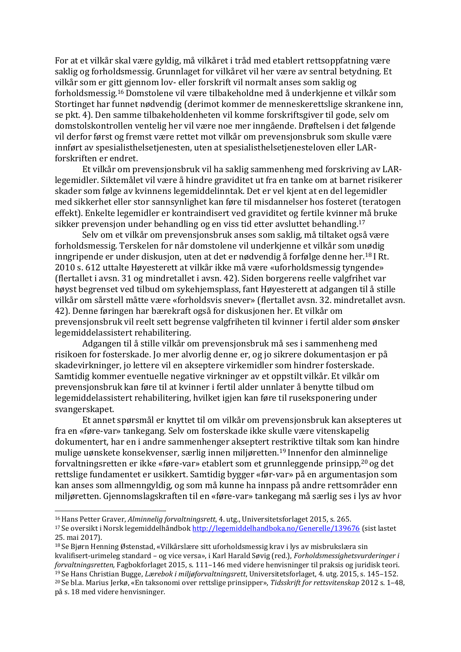For at et vilkår skal være gyldig, må vilkåret i tråd med etablert rettsoppfatning være saklig og forholdsmessig. Grunnlaget for vilkåret vil her være av sentral betydning. Et vilkår som er gitt gjennom lov- eller forskrift vil normalt anses som saklig og forholdsmessig.[16](#page-8-0) Domstolene vil være tilbakeholdne med å underkjenne et vilkår som Stortinget har funnet nødvendig (derimot kommer de menneskerettslige skrankene inn, se pkt. 4). Den samme tilbakeholdenheten vil komme forskriftsgiver til gode, selv om domstolskontrollen ventelig her vil være noe mer inngående. Drøftelsen i det følgende vil derfor først og fremst være rettet mot vilkår om prevensjonsbruk som skulle være innført av spesialisthelsetjenesten, uten at spesialisthelsetjenesteloven eller LARforskriften er endret.

Et vilkår om prevensjonsbruk vil ha saklig sammenheng med forskriving av LARlegemidler. Siktemålet vil være å hindre graviditet ut fra en tanke om at barnet risikerer skader som følge av kvinnens legemiddelinntak. Det er vel kjent at en del legemidler med sikkerhet eller stor sannsynlighet kan føre til misdannelser hos fosteret (teratogen effekt). Enkelte legemidler er kontraindisert ved graviditet og fertile kvinner [må](#page-8-1) bruke sikker prevensjon under behandling og en viss tid etter avsluttet behandling. [17](#page-8-1)

<span id="page-8-5"></span>Selv om et vilkår om prevensjonsbruk anses som saklig, må tiltaket o[gså](#page-8-1) være forholdsmessig. Terskelen for når domstolene vil underkjenne et vilkår som [unød](#page-8-2)ig inngripende er under diskusjon, uten at det er nødvendig å forfølge denne her.[18](#page-8-2) I Rt. 2010 s. 612 uttalte Høyesterett at vilkår ikke må være «uforholdsmessig tyn[gende](#page-8-2)» (flertallet i avsn. 31 og mindretallet i avsn. 42). Siden borgerens reelle valgfrihet var høyst begrenset ved tilbud om sykehjemsplass, fant Høyesterett at adgangen til å stille vilkår om sårstell måtte være «forholdsvis snever» (flertallet avsn. 32. mindretallet avsn. 42). Denne føringen har bærekraft også for diskusjonen her. Et vilkår om prevensjonsbruk vil reelt sett begrense valgfriheten til kvinner i fertil alder som ønsker legemiddelassistert rehabilitering.

Adgangen til å stille vilkår om prevensjonsbruk må ses i sammenheng med risikoen for fosterskade. Jo mer alvorlig denne er, og jo sikrere dokumentasjon er på skadevirkninger, jo lettere vil en akseptere virkemidler som hindrer fosterskade. Samtidig kommer eventuelle negative virkninger av et oppstilt vilkår. Et vilkår om prevensjonsbruk kan føre til at kvinner i fertil alder unnlater å benytte tilbud om legemiddelassistert rehabilitering, hvilket igjen kan føre til ruseksponering under svangerskapet.

Et annet spørsmål er knyttet til om vilkår om prevensjonsbruk kan aksepteres ut fra en «føre-var» tankegang. Selv om fosterskade ikke skulle være vitenskapelig dokumentert, har en i andre sammenhenger akseptert restriktive tiltak som kan hindre mulige uønskete konsekvenser, særlig innen miljøretten.[19](#page-8-3) Innenfor den al[minneli](#page-8-4)ge forvaltningsretten er ikke «føre-var» etablert som et gr[unnle](#page-8-3)ggende prinsipp,[20](#page-8-4) og det rettslige fundamentet er usikkert. Samtidig bygger «før-var» på en argumenta[sjo](#page-8-4)n som kan anses som allmenngyldig, og som må kunne ha innpass på andre rettsområder enn miljøretten. Gjennomslagskraften til en «føre-var» tankegang må særlig ses i lys av hvor

<span id="page-8-0"></span><sup>16</sup>Hans Petter Graver, *Alminnelig forvaltningsrett*, 4. utg., Universitetsforlaget 2015, s. 265.

<span id="page-8-1"></span><sup>17</sup>Se oversikt i Norsk legemiddelhåndbo[k http://legemiddelhandboka.no/Generelle/139676](http://legemiddelhandboka.no/Generelle/139676) (sist lastet 25. mai 2017).

<span id="page-8-2"></span><sup>18</sup>Se Bjørn Henning Østenstad, «Vilkårslære sitt uforholdsmessig krav i lys av misbrukslæra sin kvalifisert-urimeleg standard – og vice versa», i Karl Harald Søvig (red.), *Forholdsmessighetsvurderinger i forvaltningsretten,* Fagbokforlaget 2015, s. 111–146 med videre henvisninger til praksis og juridisk teori. <sup>19</sup>Se Hans Christian Bugge, *Lærebok i miljøforvaltningsrett*, Universitetsforlaget, 4. utg. 2015, s. 145–152.

<span id="page-8-4"></span><span id="page-8-3"></span><sup>20</sup>Se bl.a. Marius Jerkø, «En taksonomi over rettslige prinsipper», *Tidsskrift for rettsvitenskap* 2012 s. 1–48, på s. 18 med videre henvisninger.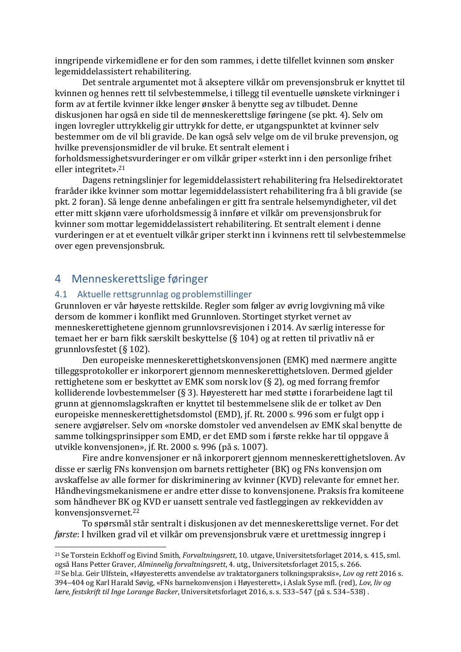inngripende virkemidlene er for den som rammes, i dette tilfellet kvinnen som ønsker legemiddelassistert rehabilitering.

Det sentrale argumentet mot å akseptere vilkår om prevensjonsbruk er knyttet til kvinnen og hennes rett til selvbestemmelse, i tillegg til eventuelle uønskete virkninger i form av at fertile kvinner ikke lenger ønsker å benytte seg av tilbudet. Denne diskusjonen har også en side til de menneskerettslige føringene (se pkt. 4). Selv om ingen lovregler uttrykkelig gir uttrykk for dette, er utgangspunktet at kvinner selv bestemmer om de vil bli gravide. De kan også selv velge om de vil bruke prevensjon, og hvilke prevensjonsmidler de vil bruke. Et sentralt element i forholdsmessig[hetsv](#page-9-0)urderinger er om vilkår griper «sterkt inn i den personlige frihet eller integritet».[21](#page-9-0)

Dagens [retnings](#page-9-0)linjer for legemiddelassistert rehabilitering fra Helsedirektoratet fraråder ikke kvinner som mottar legemiddelassistert rehabilitering fra å bli gravide (se pkt. 2 foran). Så lenge denne anbefalingen er gitt fra sentrale helsemyndigheter, vil det etter mitt skjønn være uforholdsmessig å innføre et vilkår om prevensjonsbruk for kvinner som mottar legemiddelassistert rehabilitering. Et sentralt element i denne vurderingen er at et eventuelt vilkår griper sterkt inn i kvinnens rett til selvbestemmelse over egen prevensjonsbruk.

# 4 Menneskerettslige føringer

#### 4.1 Aktuelle rettsgrunnlag og problemstillinger

Grunnloven er vår høyeste rettskilde. Regler som følger av øvrig lovgivning må vike dersom de kommer i konflikt med Grunnloven. Stortinget styrket vernet av menneskerettighetene gjennom grunnlovsrevisjonen i 2014. Av særlig interesse for temaet her er barn fikk særskilt beskyttelse (§ 104) og at retten til privatliv nå er grunnlovsfestet (§ 102).

Den europeiske menneskerettighetskonvensjonen (EMK) med nærmere angitte tilleggsprotokoller er inkorporert gjennom menneskerettighetsloven. Dermed gjelder rettighetene som er beskyttet av EMK som norsk lov (§ 2), og med forrang fremfor kolliderende lovbestemmelser (§ 3). Høyesterett har med støtte i forarbeidene lagt til grunn at gjennomslagskraften er knyttet til bestemmelsene slik de er tolket av Den europeiske menneskerettighetsdomstol (EMD), jf. Rt. 2000 s. 996 som er fulgt opp i senere avgjørelser. Selv om «norske domstoler ved anvendelsen av EMK skal benytte de samme tolkingsprinsipper som EMD, er det EMD som i første rekke har til oppgave å utvikle konvensjonen», jf. Rt. 2000 s. 996 (på s. 1007).

Fire andre konvensjoner er nå inkorporert gjennom menneskerettighetsloven. Av disse er særlig FNs konvensjon om barnets rettigheter (BK) og FNs konvensjon om avskaffelse av alle former for diskriminering av kvinner (KVD) relevante for emnet her. Håndhevingsmekanismene er andre etter disse to konvensjonene. Praksis fra komiteene som håndhever BK og KVD er uansett sentrale ved fastleggingen av rekkevidden av konvensjonsvernet.[22](#page-9-1)

To spørsmål [st](#page-9-1)år sentralt i diskusjonen av det menneskerettslige vernet. For det *første*: I hvilken grad vil et vilkår om prevensjonsbruk være et urettmessig inngrep i

<span id="page-9-0"></span><sup>21</sup>Se Torstein Eckhoff og Eivind Smith, *Forvaltningsrett*, 10. utgave, Universitetsforlaget 2014, s. 415, sml. også Hans Petter Graver, *Alminnelig forvaltningsrett*, 4. utg., Universitetsforlaget 2015, s. 266.

<span id="page-9-1"></span><sup>22</sup>Se bl.a. Geir Ulfstein, «Høyesteretts anvendelse av traktatorganers tolkningspraksis», *Lov og rett* 2016 s. 394–404 og Karl Harald Søvig, «FNs barnekonvensjon i Høyesterett», i Aslak Syse mfl. (red), *Lov, liv og lære, festskrift til Inge Lorange Backer*, Universitetsforlaget 2016, s. s. 533–547 (på s. 534–538) .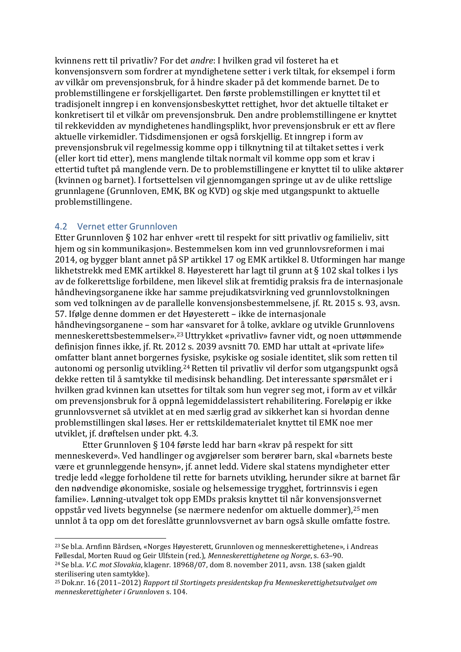kvinnens rett til privatliv? For det *andre*: I hvilken grad vil fosteret ha et konvensjonsvern som fordrer at myndighetene setter i verk tiltak, for eksempel i form av vilkår om prevensjonsbruk, for å hindre skader på det kommende barnet. De to problemstillingene er forskjelligartet. Den første problemstillingen er knyttet til et tradisjonelt inngrep i en konvensjonsbeskyttet rettighet, hvor det aktuelle tiltaket er konkretisert til et vilkår om prevensjonsbruk. Den andre problemstillingene er knyttet til rekkevidden av myndighetenes handlingsplikt, hvor prevensjonsbruk er ett av flere aktuelle virkemidler. Tidsdimensjonen er også forskjellig. Et inngrep i form av prevensjonsbruk vil regelmessig komme opp i tilknytning til at tiltaket settes i verk (eller kort tid etter), mens manglende tiltak normalt vil komme opp som et krav i ettertid tuftet på manglende vern. De to problemstillingene er knyttet til to ulike aktører (kvinnen og barnet). I fortsettelsen vil gjennomgangen springe ut av de ulike rettslige grunnlagene (Grunnloven, EMK, BK og KVD) og skje med utgangspunkt to aktuelle problemstillingene.

#### 4.2 Vernet etter Grunnloven

Etter Grunnloven § 102 har enhver «rett til respekt for sitt privatliv og familieliv, sitt hjem og sin kommunikasjon». Bestemmelsen kom inn ved grunnlovsreformen i mai 2014, og bygger blant annet på SP artikkel 17 og EMK artikkel 8. Utformingen har mange likhetstrekk med EMK artikkel 8. Høyesterett har lagt til grunn at § 102 skal tolkes i lys av de folkerettslige forbildene, men likevel slik at fremtidig praksis fra de internasjonale håndhevingsorganene ikke har samme prejudikatsvirkning ved grunnlovstolkningen som ved tolkningen av de parallelle konvensjonsbestemmelsene, jf. Rt. 2015 s. 93, avsn. 57. Ifølge denne dommen er det Høyesterett – ikke de internasjonale håndhevingsorganene – som [har «](#page-10-0)ansvaret for å tolke, avklare og utvikle Grunnlovens menneskerettsbestemmelser».[23](#page-10-0) Uttrykket «privatliv» favner vidt, og noen uttømmende definisjon finnes ikke, jf. Rt. 2[012](#page-10-0) s. 2039 avsnitt 70. EMD har uttalt at «private life» omfatter blant annet borgernes [fys](#page-10-1)iske, psykiske og sosiale identitet, slik som retten til autonomi og personlig utvikling.[24](#page-10-1) Retten til privatliv vil derfor som utgangspunkt også dekke retten til å samtykke til [medi](#page-10-1)sinsk behandling. Det interessante spørsmålet er i hvilken grad kvinnen kan utsettes for tiltak som hun vegrer seg mot, i form av et vilkår om prevensjonsbruk for å oppnå legemiddelassistert rehabilitering. Foreløpig er ikke grunnlovsvernet så utviklet at en med særlig grad av sikkerhet kan si hvordan denne problemstillingen skal løses. Her er rettskildematerialet knyttet til EMK noe mer utviklet, jf. drøftelsen under pkt. 4.3.

Etter Grunnloven § 104 første ledd har barn «krav på respekt for sitt menneskeverd». Ved handlinger og avgjørelser som berører barn, skal «barnets beste være et grunnleggende hensyn», jf. annet ledd. Videre skal statens myndigheter etter tredje ledd «legge forholdene til rette for barnets utvikling, herunder sikre at barnet får den nødvendige økonomiske, sosiale og helsemessige trygghet, fortrinnsvis i egen familie». Lønning-utvalget tok opp EMDs praksis knyttet til når konvensjon[sve](#page-10-2)rnet oppstår ved livets begynnelse (se nærmere nedenfor om aktuelle dommer),[25](#page-10-2) men unnlot å ta opp om det foreslåtte grunnlovsvernet av barn også skulle om[fatte f](#page-10-2)ostre.

<span id="page-10-0"></span><sup>23</sup>Se bl.a. Arnfinn Bårdsen, «Norges Høyesterett, Grunnloven og menneskerettighetene», i Andreas Føllesdal, Morten Ruud og Geir Ulfstein (red.), *Menneskerettighetene og Norge*, s. 63–90. <sup>24</sup>Se bl.a. *V.C. mot Slovakia*, klagenr. 18968/07, dom 8. november 2011, avsn. 138 (saken gjaldt

<span id="page-10-1"></span>sterilisering uten samtykke).

<span id="page-10-2"></span><sup>25</sup>Dok.nr. 16 (2011–2012) *Rapport til Stortingets presidentskap fra Menneskerettighetsutvalget om menneskerettigheter i Grunnloven* s. 104.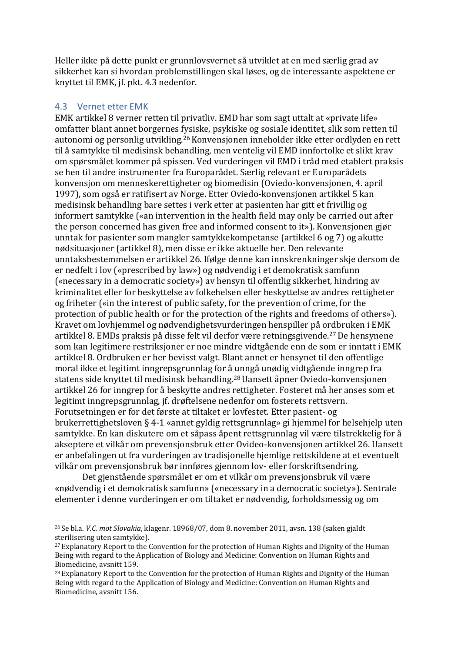Heller ikke på dette punkt er grunnlovsvernet så utviklet at en med særlig grad av sikkerhet kan si hvordan problemstillingen skal løses, og de interessante aspektene er knyttet til EMK, jf. pkt. 4.3 nedenfor.

#### 4.3 Vernet etter EMK

EMK artikkel 8 verner retten til privatliv. EMD har som sagt uttalt at «private life» omfatter blant annet borgernes [fys](#page-11-0)iske, psykiske og sosiale identitet, slik som retten til autonomi og personlig utvikling.[26](#page-11-0) Konvensjonen inneholder ikke etter ordlyden en rett til å samtykke til medisinsk be[handl](#page-11-0)ing, men ventelig vil EMD innfortolke et slikt krav om spørsmålet kommer på spissen. Ved vurderingen vil EMD i tråd med etablert praksis se hen til andre instrumenter fra Europarådet. Særlig relevant er Europarådets konvensjon om menneskerettigheter og biomedisin (Oviedo-konvensjonen, 4. april 1997), som også er ratifisert av Norge. Etter Oviedo-konvensjonen artikkel 5 kan medisinsk behandling bare settes i verk etter at pasienten har gitt et frivillig og informert samtykke («an intervention in the health field may only be carried out after the person concerned has given free and informed consent to it»). Konvensjonen gjør unntak for pasienter som mangler samtykkekompetanse (artikkel 6 og 7) og akutte nødsituasjoner (artikkel 8), men disse er ikke aktuelle her. Den relevante unntaksbestemmelsen er artikkel 26. Ifølge denne kan innskrenkninger skje dersom de er nedfelt i lov («prescribed by law») og nødvendig i et demokratisk samfunn («necessary in a democratic society») av hensyn til offentlig sikkerhet, hindring av kriminalitet eller for beskyttelse av folkehelsen eller beskyttelse av andres rettigheter og friheter («in the interest of public safety, for the prevention of crime, for the protection of public health or for the protection of the rights and freedoms of others»). Kravet om lovhjemmel og nødvendighetsvurderingen henspiller på o[rdb](#page-11-1)ruken i EMK artikkel 8. EMDs praksis på disse felt vil derfor være retningsgivende.[27](#page-11-1) De hensynene som kan legitimere restriksjoner er noe mindre vidtgående enn de s[om e](#page-11-1)r inntatt i EMK artikkel 8. Ordbruken er her bevisst valgt. Blant annet er hensynet til den offentlige moral ikke et legitimt inngrepsgrunnlag for å [un](#page-11-2)ngå unødig vidtgående inngrep fra statens side knyttet til medisinsk behandling.[28](#page-11-2) Uansett åpner Oviedo-konvensjonen artikkel 26 for inngrep for å beskytte andres rettigheter. Fosteret må her anses som et legitimt inngrepsgrunnlag, jf. drøftelsene nedenfor om fosterets rettsvern. Forutsetningen er for det første at tiltaket er lovfestet. Etter pasient- og brukerrettighetsloven § 4-1 «annet gyldig rettsgrunnlag» gi hjemmel for helsehjelp uten samtykke. En kan diskutere om et såpass åpent rettsgrunnlag vil være tilstrekkelig for å akseptere et vilkår om prevensjonsbruk etter Ovideo-konvensjonen artikkel 26. Uansett er anbefalingen ut fra vurderingen av tradisjonelle hjemlige rettskildene at et eventuelt vilkår om prevensjonsbruk bør innføres gjennom lov- eller forskriftsendring.

Det gjenstående spørsmålet er om et vilkår om prevensjonsbruk vil være «nødvendig i et demokratisk samfunn» («necessary in a democratic society»). Sentrale elementer i denne vurderingen er om tiltaket er nødvendig, forholdsmessig og om

<span id="page-11-0"></span><sup>26</sup>Se bl.a. *V.C. mot Slovakia*, klagenr. 18968/07, dom 8. november 2011, avsn. 138 (saken gjaldt sterilisering uten samtykke).

<span id="page-11-1"></span><sup>&</sup>lt;sup>27</sup> Explanatory Report to the Convention for the protection of Human Rights and Dignity of the Human Being with regard to the Application of Biology and Medicine: Convention on Human Rights and Biomedicine, avsnitt 159.

<span id="page-11-2"></span><sup>&</sup>lt;sup>28</sup> Explanatory Report to the Convention for the protection of Human Rights and Dignity of the Human Being with regard to the Application of Biology and Medicine: Convention on Human Rights and Biomedicine, avsnitt 156.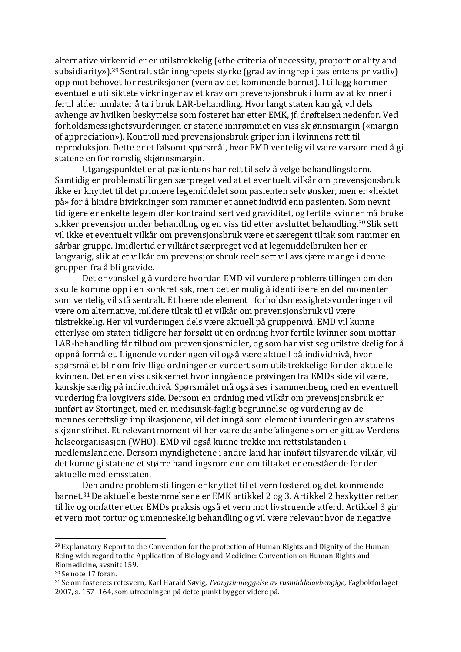alternative virkemidler er utilstrekkelig («the criteria of necessity, proportionality and subsidiarity»).[29](#page-12-0) Sentralt står inngrepets styrke (grad av inngrep i pasientens privatliv) opp mot behovet for restriksjoner (vern av det kommende barnet). I tillegg kommer eventuelle utilsiktete virkninger av et krav om prevensjonsbruk i form av at kvinner i fertil alder unnlater å ta i bruk LAR-behandling. Hvor langt staten kan gå, vil dels avhenge av hvilken beskyttelse som fosteret har etter EMK, jf. drøftelsen nedenfor. Ved forholdsmessighetsvurderingen er statene innrømmet en viss skjønnsmargin («margin of appreciation»). Kontroll med prevensjonsbruk griper inn i kvinnens rett til reproduksjon. Dette er et følsomt spørsmål, hvor EMD ventelig vil være varsom med å gi statene en for romslig skjønnsmargin.

Utgangspunktet er at pasientens har rett til selv å velge behandlingsform. Samtidig er problemstillingen særpreget ved at et eventuelt vilkår om prevensjonsbruk ikke er knyttet til det primære legemiddelet som pasienten selv ønsker, men er «hektet på» for å hindre bivirkninger som rammer et annet individ enn pasienten. Som nevnt tidligere er enkelte legemidler kontraindisert ved graviditet, og fertile kvinner må bruke sikker prevensjon under behandling og en viss tid etter avsluttet behandling.[30](#page-12-1) Slik sett vil ikke et eventuelt vilkår om prevensjonsbruk være et særegent tiltak som [ramm](#page-12-1)er en sårbar gruppe. Imidlertid er vilkåret særpreget ved at legemiddelbruken her er langvarig, slik at et vilkår om prevensjonsbruk reelt sett vil avskjære mange i denne gruppen fra å bli gravide.

Det er vanskelig å vurdere hvordan EMD vil vurdere problemstillingen om den skulle komme opp i en konkret sak, men det er mulig å identifisere en del momenter som ventelig vil stå sentralt. Et bærende element i forholdsmessighetsvurderingen vil være om alternative, mildere tiltak til et vilkår om prevensjonsbruk vil være tilstrekkelig. Her vil vurderingen dels være aktuell på gruppenivå. EMD vil kunne etterlyse om staten tidligere har forsøkt ut en ordning hvor fertile kvinner som mottar LAR-behandling får tilbud om prevensjonsmidler, og som har vist seg utilstrekkelig for å oppnå formålet. Lignende vurderingen vil også være aktuell på individnivå, hvor spørsmålet blir om frivillige ordninger er vurdert som utilstrekkelige for den aktuelle kvinnen. Det er en viss usikkerhet hvor inngående prøvingen fra EMDs side vil være, kanskje særlig på individnivå. Spørsmålet må også ses i sammenheng med en eventuell vurdering fra lovgivers side. Dersom en ordning med vilkår om prevensjonsbruk er innført av Stortinget, med en medisinsk-faglig begrunnelse og vurdering av de menneskerettslige implikasjonene, vil det inngå som element i vurderingen av statens skjønnsfrihet. Et relevant moment vil her være de anbefalingene som er gitt av Verdens helseorganisasjon (WHO). EMD vil også kunne trekke inn rettstilstanden i medlemslandene. Dersom myndighetene i andre land har innført tilsvarende vilkår, vil det kunne gi statene et større handlingsrom enn om tiltaket er enestående for den aktuelle medlemsstaten.

[De](#page-12-2)n andre problemstillingen er knyttet til et vern fosteret og det kommende barnet.[31](#page-12-2) De aktuelle bestemmelsene er EMK artikkel 2 og 3. Artikkel 2 beskytter retten til liv og omfatter etter EMDs praksis også et vern mot livstruende atferd. Artikkel 3 gir et vern mot tortur og umenneskelig behandling og vil være relevant hvor de negative

<span id="page-12-0"></span> $^{29}$  Explanatory Report to the Convention for the protection of Human Rights and Dignity of the Human Being with regard to the Application of Biology and Medicine: Convention on Human Rights and Biomedicine, avsnitt 159.

<span id="page-12-1"></span><sup>30</sup>Se note [17 f](#page-8-5)oran.

<span id="page-12-2"></span><sup>31</sup>Se om fosterets rettsvern, Karl Harald Søvig, *Tvangsinnleggelse av rusmiddelavhengige*, Fagbokforlaget 2007, s. 157–164, som utredningen på dette punkt bygger videre på.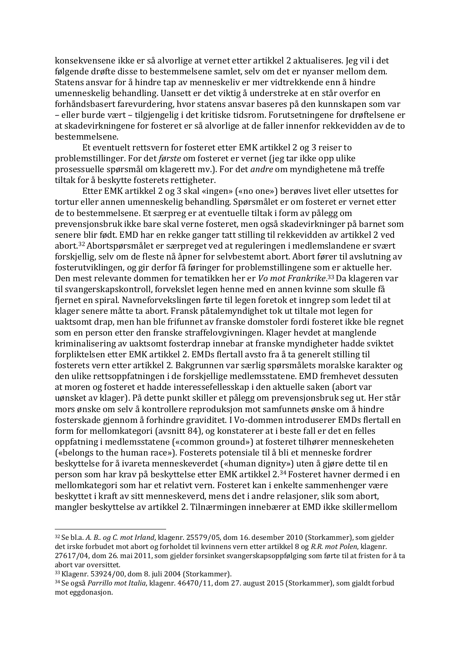konsekvensene ikke er så alvorlige at vernet etter artikkel 2 aktualiseres. Jeg vil i det følgende drøfte disse to bestemmelsene samlet, selv om det er nyanser mellom dem. Statens ansvar for å hindre tap av menneskeliv er mer vidtrekkende enn å hindre umenneskelig behandling. Uansett er det viktig å understreke at en står overfor en forhåndsbasert farevurdering, hvor statens ansvar baseres på den kunnskapen som var – eller burde vært – tilgjengelig i det kritiske tidsrom. Forutsetningene for drøftelsene er at skadevirkningene for fosteret er så alvorlige at de faller innenfor rekkevidden av de to bestemmelsene.

Et eventuelt rettsvern for fosteret etter EMK artikkel 2 og 3 reiser to problemstillinger. For det *første* om fosteret er vernet (jeg tar ikke opp ulike prosessuelle spørsmål om klagerett mv.). For det *andre* om myndighetene må treffe tiltak for å beskytte fosterets rettigheter.

Etter EMK artikkel 2 og 3 skal «ingen» («no one») berøves livet eller utsettes for tortur eller annen umenneskelig behandling. Spørsmålet er om fosteret er vernet etter de to bestemmelsene. Et særpreg er at eventuelle tiltak i form av pålegg om prevensjonsbruk ikke bare skal verne fosteret, men også skadevirkninger på barnet som senere blir født. EMD har en rekke ganger tatt stilling til rekkevidden av artikkel 2 ved abort.[32](#page-13-0) Abortspørsmålet er særpreget ved at reguleringen i medlemslandene er svært forsk[jel](#page-13-0)lig, selv om de fleste nå åpner for selvbestemt abort. Abort fører til avslutning av fosterutviklingen, og gir derfor få føringer for problemstillingene som er aktuelle her. Den mest relevante dommen for tematikken her er *Vo mot Frankrike*. [33](#page-13-1) Da klageren var til svangerskapskontroll, forvekslet legen henne med en annen kvinne som skulle få fjernet en spiral. Navneforvekslingen førte til legen foretok et inngrep som ledet til at klager senere måtte ta abort. Fransk påtalemyndighet tok ut tiltale mot legen for uaktsomt drap, men han ble frifunnet av franske domstoler fordi fosteret ikke ble regnet som en person etter den franske straffelovgivningen. Klager hevdet at manglende kriminalisering av uaktsomt fosterdrap innebar at franske myndigheter hadde sviktet forpliktelsen etter EMK artikkel 2. EMDs flertall avsto fra å ta generelt stilling til fosterets vern etter artikkel 2. Bakgrunnen var særlig spørsmålets moralske karakter og den ulike rettsoppfatningen i de forskjellige medlemsstatene. EMD fremhevet dessuten at moren og fosteret et hadde interessefellesskap i den aktuelle saken (abort var uønsket av klager). På dette punkt skiller et pålegg om prevensjonsbruk seg ut. Her står mors ønske om selv å kontrollere reproduksjon mot samfunnets ønske om å hindre fosterskade gjennom å forhindre graviditet. I Vo-dommen introduserer EMDs flertall en form for mellomkategori (avsnitt 84), og konstaterer at i beste fall er det en felles oppfatning i medlemsstatene («common ground») at fosteret tilhører menneskeheten («belongs to the human race»). Fosterets potensiale til å bli et menneske fordrer beskyttelse for å ivareta menneskeverdet («human di[gnity»](#page-13-2)) uten å gjøre dette til en person som har krav på beskyttelse etter EMK artikkel 2.[34](#page-13-2) Fosteret havner dermed i en mellomkategori som har et relativt vern. Fosteret kan i [enke](#page-13-2)lte sammenhenger være beskyttet i kraft av sitt menneskeverd, mens det i andre relasjoner, slik som abort, mangler beskyttelse av artikkel 2. Tilnærmingen innebærer at EMD ikke skillermellom

<span id="page-13-0"></span><sup>32</sup>Se bl.a. *A. B.. og C. mot Irland*, klagenr. 25579/05, dom 16. desember 2010 (Storkammer), som gjelder det irske forbudet mot abort og forholdet til kvinnens vern etter artikkel 8 og *R.R. mot Polen*, klagenr. 27617/04, dom 26. mai 2011, som gjelder forsinket svangerskapsoppfølging som førte til at fristen for å ta abort var oversittet.

<span id="page-13-1"></span><sup>33</sup>Klagenr. 53924/00, dom 8. juli 2004 (Storkammer).

<span id="page-13-2"></span><sup>34</sup>Se også *Parrillo mot Italia*, klagenr. 46470/11, dom 27. august 2015 (Storkammer), som gjaldt forbud mot eggdonasjon.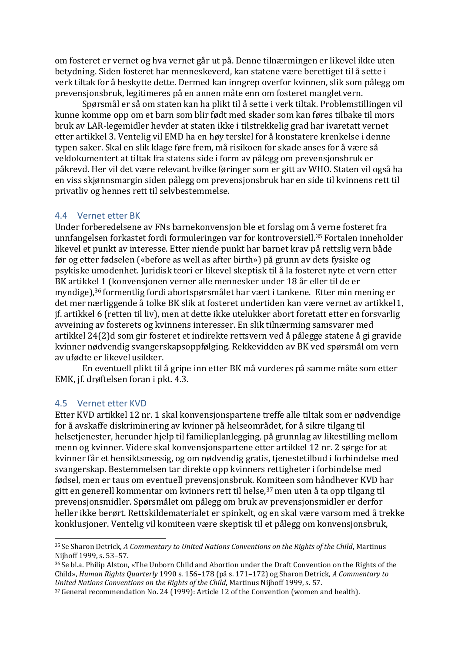om fosteret er vernet og hva vernet går ut på. Denne tilnærmingen er likevel ikke uten betydning. Siden fosteret har menneskeverd, kan statene være berettiget til å sette i verk tiltak for å beskytte dette. Dermed kan inngrep overfor kvinnen, slik som pålegg om prevensjonsbruk, legitimeres på en annen måte enn om fosteret mangletvern.

Spørsmål er så om staten kan ha plikt til å sette i verk tiltak. Problemstillingen vil kunne komme opp om et barn som blir født med skader som kan føres tilbake til mors bruk av LAR-legemidler hevder at staten ikke i tilstrekkelig grad har ivaretatt vernet etter artikkel 3. Ventelig vil EMD ha en høy terskel for å konstatere krenkelse i denne typen saker. Skal en slik klage føre frem, må risikoen for skade anses for å være så veldokumentert at tiltak fra statens side i form av pålegg om prevensjonsbruk er påkrevd. Her vil det være relevant hvilke føringer som er gitt av WHO. Staten vil også ha en viss skjønnsmargin siden pålegg om prevensjonsbruk har en side til kvinnens rett til privatliv og hennes rett til selvbestemmelse.

#### 4.4 Vernet etter BK

Under forberedelsene av FNs barnekonvensjon ble et forslag om [å ve](#page-14-0)rne fosteret fra unnfangelsen forkastet fordi formuleringen var for kontroversiell.[35](#page-14-0) Fortalen inneholder likevel et punkt av interesse. Etter niende punkt har barnet krav [på](#page-14-0) rettslig vern både før og etter fødselen («before as well as after birth») på grunn av dets fysiske og psykiske umodenhet. Juridisk teori er likevel skeptisk til å la fosteret nyte et vern etter BK artikkel 1 (konvensjonen verner alle mennesker under 18 år eller til de er myndige),[36](#page-14-1) formentlig fordi abortspørsmålet har vært i tankene. Etter min mening er det mer nærliggende å tolke BK slik at fosteret undertiden kan være vernet av artikkel1, jf. artikkel 6 (retten til liv), men at dette ikke utelukker abort foretatt etter en forsvarlig avveining av fosterets og kvinnens interesser. En slik tilnærming samsvarer med artikkel 24(2)d som gir fosteret et indirekte rettsvern ved å pålegge statene å gi gravide kvinner nødvendig svangerskapsoppfølging. Rekkevidden av BK ved spørsmål om vern av ufødte er likevel usikker.

En eventuell plikt til å gripe inn etter BK må vurderes på samme måte som etter EMK, jf. drøftelsen foran i pkt. 4.3.

#### 4.5 Vernet etter KVD

Etter KVD artikkel 12 nr. 1 skal konvensjonspartene treffe alle tiltak som er nødvendige for å avskaffe diskriminering av kvinner på helseområdet, for å sikre tilgang til helsetjenester, herunder hjelp til familieplanlegging, på grunnlag av likestilling mellom menn og kvinner. Videre skal konvensjonspartene etter artikkel 12 nr. 2 sørge for at kvinner får et hensiktsmessig, og om nødvendig gratis, tjenestetilbud i forbindelse med svangerskap. Bestemmelsen tar direkte opp kvinners rettigheter i forbindelse med fødsel, men er taus om eventuell prevensjonsbruk. K[omi](#page-14-2)teen som håndhever KVD har gitt en generell kommentar om kvinners rett til helse,  $37$  men uten å ta opp tilgang til prevensjonsmidler. Spørsmålet om pålegg om bruk av prevensjonsmidler er derfor heller ikke berørt. Rettskildematerialet er spinkelt, og en skal være varsom med å trekke konklusjoner. Ventelig vil komiteen være skeptisk til et pålegg om konvensjonsbruk,

<span id="page-14-0"></span><sup>35</sup>Se Sharon Detrick, *A Commentary to United Nations Conventions on the Rights of the Child*, Martinus Nijhoff 1999, s. 53–57.

<span id="page-14-1"></span><sup>&</sup>lt;sup>36</sup> Se bl.a. Philip Alston, «The Unborn Child and Abortion under the Draft Convention on the Rights of the Child», *Human Rights Quarterly* 1990 s. 156–178 (på s. 171–172) og Sharon Detrick, *A Commentary to United Nations Conventions on the Rights of the Child*, Martinus Nijhoff 1999, s. 57.

<span id="page-14-2"></span><sup>37</sup> General recommendation No. 24 (1999): Article 12 of the Convention (women and health).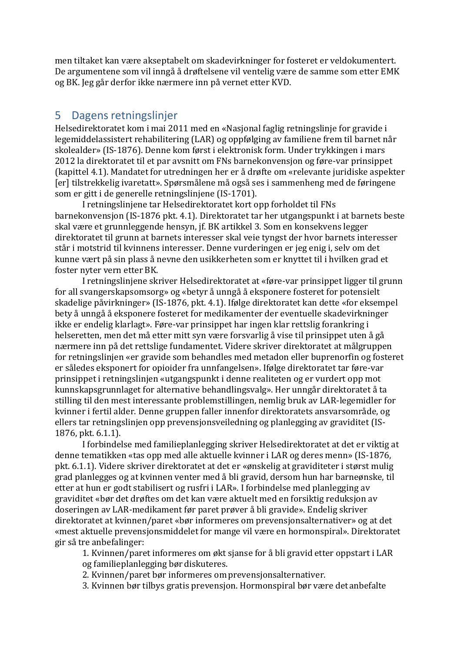men tiltaket kan være akseptabelt om skadevirkninger for fosteret er veldokumentert. De argumentene som vil inngå å drøftelsene vil ventelig være de samme som etter EMK og BK. Jeg går derfor ikke nærmere inn på vernet etter KVD.

# 5 Dagens retningslinjer

Helsedirektoratet kom i mai 2011 med en «Nasjonal faglig retningslinje for gravide i legemiddelassistert rehabilitering (LAR) og oppfølging av familiene frem til barnet når skolealder» (IS-1876). Denne kom først i elektronisk form. Under trykkingen i mars 2012 la direktoratet til et par avsnitt om FNs barnekonvensjon og føre-var prinsippet (kapittel 4.1). Mandatet for utredningen her er å drøfte om «relevante juridiske aspekter [er] tilstrekkelig ivaretatt». Spørsmålene må også ses i sammenheng med de føringene som er gitt i de generelle retningslinjene (IS-1701).

I retningslinjene tar Helsedirektoratet kort opp forholdet til FNs barnekonvensjon (IS-1876 pkt. 4.1). Direktoratet tar her utgangspunkt i at barnets beste skal være et grunnleggende hensyn, jf. BK artikkel 3. Som en konsekvens legger direktoratet til grunn at barnets interesser skal veie tyngst der hvor barnets interesser står i motstrid til kvinnens interesser. Denne vurderingen er jeg enig i, selv om det kunne vært på sin plass å nevne den usikkerheten som er knyttet til i hvilken grad et foster nyter vern etter BK.

I retningslinjene skriver Helsedirektoratet at «føre-var prinsippet ligger til grunn for all svangerskapsomsorg» og «betyr å unngå å eksponere fosteret for potensielt skadelige påvirkninger» (IS-1876, pkt. 4.1). Ifølge direktoratet kan dette «for eksempel bety å unngå å eksponere fosteret for medikamenter der eventuelle skadevirkninger ikke er endelig klarlagt». Føre-var prinsippet har ingen klar rettslig forankring i helseretten, men det må etter mitt syn være forsvarlig å vise til prinsippet uten å gå nærmere inn på det rettslige fundamentet. Videre skriver direktoratet at målgruppen for retningslinjen «er gravide som behandles med metadon eller buprenorfin og fosteret er således eksponert for opioider fra unnfangelsen». Ifølge direktoratet tar føre-var prinsippet i retningslinjen «utgangspunkt i denne realiteten og er vurdert opp mot kunnskapsgrunnlaget for alternative behandlingsvalg». Her unngår direktoratet å ta stilling til den mest interessante problemstillingen, nemlig bruk av LAR-legemidler for kvinner i fertil alder. Denne gruppen faller innenfor direktoratets ansvarsområde, og ellers tar retningslinjen opp prevensjonsveiledning og planlegging av graviditet (IS-1876, pkt. 6.1.1).

I forbindelse med familieplanlegging skriver Helsedirektoratet at det er viktig at denne tematikken «tas opp med alle aktuelle kvinner i LAR og deres menn» (IS-1876, pkt. 6.1.1). Videre skriver direktoratet at det er «ønskelig at graviditeter i størst mulig grad planlegges og at kvinnen venter med å bli gravid, dersom hun har barneønske, til etter at hun er godt stabilisert og rusfri i LAR». I forbindelse med planlegging av graviditet «bør det drøftes om det kan være aktuelt med en forsiktig reduksjon av doseringen av LAR-medikament før paret prøver å bli gravide». Endelig skriver direktoratet at kvinnen/paret «bør informeres om prevensjonsalternativer» og at det «mest aktuelle prevensjonsmiddelet for mange vil være en hormonspiral». Direktoratet gir så tre anbefalinger:

1. Kvinnen/paret informeres om økt sjanse for å bli gravid etter oppstart i LAR og familieplanlegging bør diskuteres.

2. Kvinnen/paret bør informeres omprevensjonsalternativer.

3. Kvinnen bør tilbys gratis prevensjon. Hormonspiral bør være detanbefalte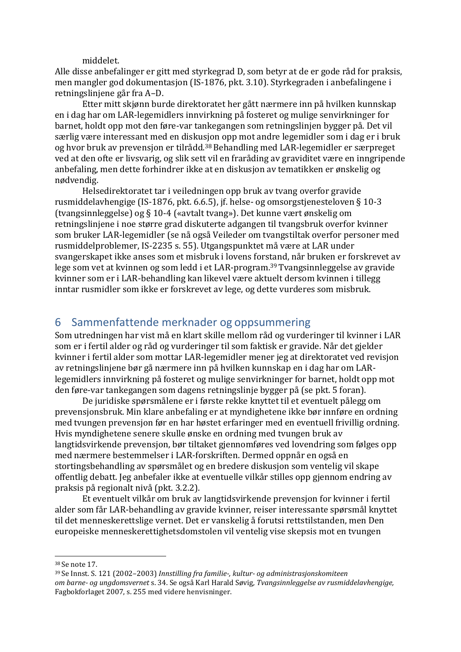middelet.

Alle disse anbefalinger er gitt med styrkegrad D, som betyr at de er gode råd for praksis, men mangler god dokumentasjon (IS-1876, pkt. 3.10). Styrkegraden i anbefalingene i retningslinjene går fra A–D.

Etter mitt skjønn burde direktoratet her gått nærmere inn på hvilken kunnskap en i dag har om LAR-legemidlers innvirkning på fosteret og mulige senvirkninger for barnet, holdt opp mot den føre-var tankegangen som retningslinjen bygger på. Det vil særlig være interessant med en disk[usjo](#page-16-0)n opp mot andre legemidler som i dag er i bruk og hvor bruk av prevensjon er tilrådd.[38](#page-16-0) Behandling med LAR-legemidler er særpreget ved at den ofte er livsvarig, og slik sett [vi](#page-16-0)l en fraråding av graviditet være en inngripende anbefaling, men dette forhindrer ikke at en diskusjon av tematikken er ønskelig og nødvendig.

Helsedirektoratet tar i veiledningen opp bruk av tvang overfor gravide rusmiddelavhengige (IS-1876, pkt. 6.6.5), jf. helse- og omsorgstjenesteloven § 10-3 (tvangsinnleggelse) og § 10-4 («avtalt tvang»). Det kunne vært ønskelig om retningslinjene i noe større grad diskuterte adgangen til tvangsbruk overfor kvinner som bruker LAR-legemidler (se nå også Veileder om tvangstiltak overfor personer med rusmiddelproblemer, IS-2235 s. 55). Utgangspunktet må være at LAR under svangerskapet ikke anses som et misbruk i lovens fo[rstand,](#page-16-1) når bruken er forskrevet av lege som vet at kvinnen og som ledd i et LAR-program.[39](#page-16-1) Tvangsinnleggelse av gravide kvinner som er i LAR-behandling kan likevel være akt[uelt](#page-16-1) dersom kvinnen i tillegg inntar rusmidler som ikke er forskrevet av lege, og dette vurderes som misbruk.

# 6 Sammenfattende merknader og oppsummering

Som utredningen har vist må en klart skille mellom råd og vurderinger til kvinner i LAR som er i fertil alder og råd og vurderinger til som faktisk er gravide. Når det gjelder kvinner i fertil alder som mottar LAR-legemidler mener jeg at direktoratet ved revisjon av retningslinjene bør gå nærmere inn på hvilken kunnskap en i dag har om LARlegemidlers innvirkning på fosteret og mulige senvirkninger for barnet, holdt opp mot den føre-var tankegangen som dagens retningslinje bygger på (se pkt. 5 foran).

De juridiske spørsmålene er i første rekke knyttet til et eventuelt pålegg om prevensjonsbruk. Min klare anbefaling er at myndighetene ikke bør innføre en ordning med tvungen prevensjon før en har høstet erfaringer med en eventuell frivillig ordning. Hvis myndighetene senere skulle ønske en ordning med tvungen bruk av langtidsvirkende prevensjon, bør tiltaket gjennomføres ved lovendring som følges opp med nærmere bestemmelser i LAR-forskriften. Dermed oppnår en også en stortingsbehandling av spørsmålet og en bredere diskusjon som ventelig vil skape offentlig debatt. Jeg anbefaler ikke at eventuelle vilkår stilles opp gjennom endring av praksis på regionalt nivå (pkt. 3.2.2).

Et eventuelt vilkår om bruk av langtidsvirkende prevensjon for kvinner i fertil alder som får LAR-behandling av gravide kvinner, reiser interessante spørsmål knyttet til det menneskerettslige vernet. Det er vanskelig å forutsi rettstilstanden, men Den europeiske menneskerettighetsdomstolen vil ventelig vise skepsis mot en tvungen

<span id="page-16-0"></span><sup>38</sup>Se note [17.](#page-8-5)

<span id="page-16-1"></span><sup>39</sup>Se Innst. S. 121 (2002–2003) *Innstilling fra familie-, kultur- og administrasjonskomiteen om barne- og ungdomsvernet* s. 34. Se også Karl Harald Søvig*, Tvangsinnleggelse av rusmiddelavhengige,* Fagbokforlaget 2007, s. 255 med videre henvisninger.